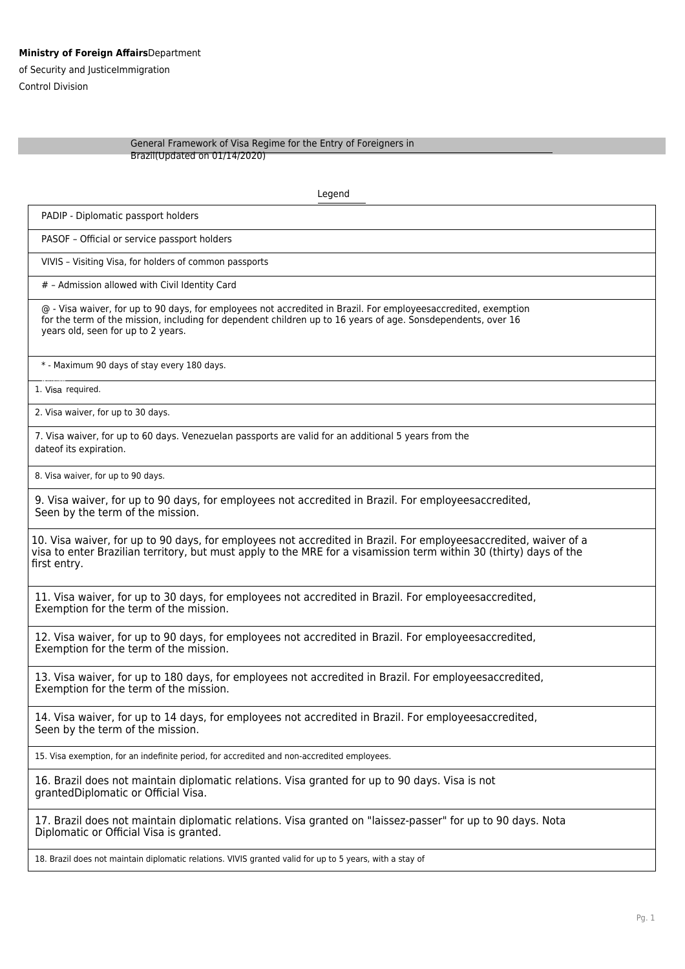## **Ministry of Foreign Affairs**Department

of Security and JusticeImmigration Control Division

## General Framework of Visa Regime for the Entry of Foreigners in Brazil(Updated on 01/14/2020)

Legend PADIP - Diplomatic passport holders PASOF – Official or service passport holders VIVIS – Visiting Visa, for holders of common passports # – Admission allowed with Civil Identity Card @ - Visa waiver, for up to 90 days, for employees not accredited in Brazil. For employeesaccredited, exemption for the term of the mission, including for dependent children up to 16 years of age. Sonsdependents, over 16 years old, seen for up to 2 years. \* - Maximum 90 days of stay every 180 days. 1. Visa required. 2. Visa waiver, for up to 30 days. 7. Visa waiver, for up to 60 days. Venezuelan passports are valid for an additional 5 years from the dateof its expiration. 8. Visa waiver, for up to 90 days. 9. Visa waiver, for up to 90 days, for employees not accredited in Brazil. For employeesaccredited, Seen by the term of the mission. 10. Visa waiver, for up to 90 days, for employees not accredited in Brazil. For employeesaccredited, waiver of a visa to enter Brazilian territory, but must apply to the MRE for a visamission term within 30 (thirty) days of the first entry. 11. Visa waiver, for up to 30 days, for employees not accredited in Brazil. For employeesaccredited, Exemption for the term of the mission. 12. Visa waiver, for up to 90 days, for employees not accredited in Brazil. For employeesaccredited, Exemption for the term of the mission. 13. Visa waiver, for up to 180 days, for employees not accredited in Brazil. For employeesaccredited, Exemption for the term of the mission. 14. Visa waiver, for up to 14 days, for employees not accredited in Brazil. For employeesaccredited, Seen by the term of the mission. 15. Visa exemption, for an indefinite period, for accredited and non-accredited employees. 16. Brazil does not maintain diplomatic relations. Visa granted for up to 90 days. Visa is not grantedDiplomatic or Official Visa. 17. Brazil does not maintain diplomatic relations. Visa granted on "laissez-passer" for up to 90 days. Nota Diplomatic or Official Visa is granted. 18. Brazil does not maintain diplomatic relations. VIVIS granted valid for up to 5 years, with a stay of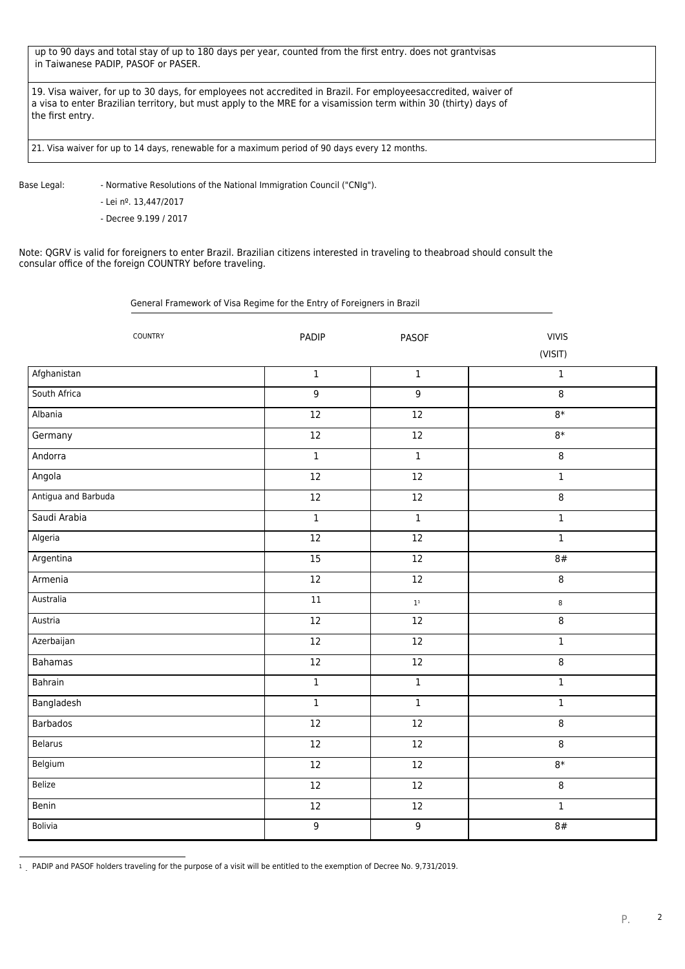up to 90 days and total stay of up to 180 days per year, counted from the first entry. does not grantvisas in Taiwanese PADIP, PASOF or PASER.

19. Visa waiver, for up to 30 days, for employees not accredited in Brazil. For employeesaccredited, waiver of a visa to enter Brazilian territory, but must apply to the MRE for a visamission term within 30 (thirty) days of the first entry.

21. Visa waiver for up to 14 days, renewable for a maximum period of 90 days every 12 months.

Base Legal: - Normative Resolutions of the National Immigration Council ("CNIg").

- Lei nº. 13,447/2017

- Decree 9.199 / 2017

Note: QGRV is valid for foreigners to enter Brazil. Brazilian citizens interested in traveling to theabroad should consult the consular office of the foreign COUNTRY before traveling.

General Framework of Visa Regime for the Entry of Foreigners in Brazil

| COUNTRY             | PADIP           | <b>PASOF</b>               | <b>VIVIS</b>   |
|---------------------|-----------------|----------------------------|----------------|
|                     |                 |                            | (VISIT)        |
| Afghanistan         | $\mathbf{1}$    | $\mathbf{1}$               | $\mathbf{1}$   |
| South Africa        | $\overline{9}$  | 9                          | $\overline{8}$ |
| Albania             | 12              | $\overline{12}$            | $8*$           |
| Germany             | $12\,$          | $12\,$                     | $8*$           |
| Andorra             | $\overline{1}$  | $1\,$                      | 8              |
| Angola              | 12              | 12                         | $\overline{1}$ |
| Antigua and Barbuda | $\overline{12}$ | 12                         | 8              |
| Saudi Arabia        | $\mathbf{1}$    | $\mathbf{1}$               | $\,1$          |
| Algeria             | $\overline{12}$ | $\overline{12}$            | $\mathbf 1$    |
| Argentina           | 15              | $12\,$                     | 8#             |
| Armenia             | 12              | 12                         | $\,8\,$        |
| Australia           | $\overline{11}$ | $1^{\scriptscriptstyle 1}$ | 8              |
| Austria             | $\overline{12}$ | $12\,$                     | 8              |
| Azerbaijan          | 12              | $12\,$                     | $\mathbf 1$    |
| <b>Bahamas</b>      | 12              | $\overline{12}$            | 8              |
| Bahrain             | $\overline{1}$  | $\mathbf 1$                | $\,1\,$        |
| Bangladesh          | $\mathbf 1$     | $\mathbf{1}$               | $\mathbf 1$    |
| <b>Barbados</b>     | 12              | $12\,$                     | 8              |
| <b>Belarus</b>      | $\overline{12}$ | $\overline{12}$            | 8              |
| Belgium             | $\overline{12}$ | $\overline{12}$            | $8*$           |
| Belize              | $12\,$          | $12\,$                     | 8              |
| Benin               | 12              | $12\,$                     | $\overline{1}$ |
| <b>Bolivia</b>      | $\mathsf 9$     | 9                          | 8#             |

<sup>1</sup> PADIP and PASOF holders traveling for the purpose of a visit will be entitled to the exemption of Decree No. 9,731/2019.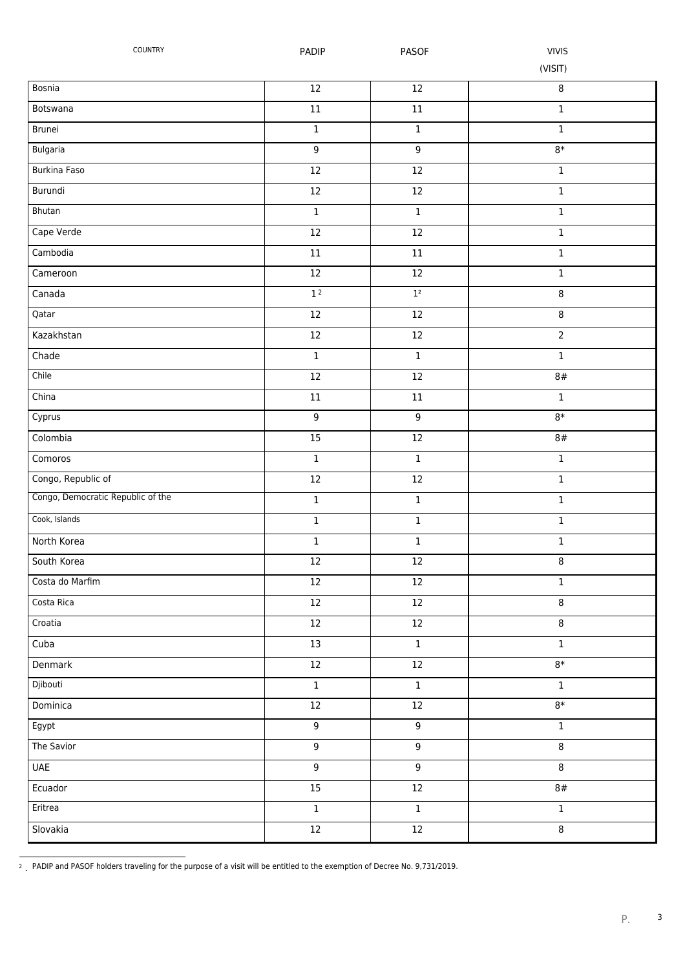| COUNTRY                           | PADIP            | <b>PASOF</b>     | <b>VIVIS</b>   |
|-----------------------------------|------------------|------------------|----------------|
|                                   |                  |                  | (VISIT)        |
| Bosnia                            | $12\,$           | $12\,$           | 8              |
| Botswana                          | $11\,$           | $11\,$           | $\mathbf 1$    |
| Brunei                            | $\mathbf 1$      | $\,1\,$          | $\mathbf 1$    |
| Bulgaria                          | $\overline{9}$   | $\overline{9}$   | $8*$           |
| Burkina Faso                      | $12\,$           | 12               | $\mathbf 1$    |
| Burundi                           | $12\,$           | $12\,$           | $\mathbf 1$    |
| Bhutan                            | $\mathbf 1$      | $\,1\,$          | $\mathbf 1$    |
| Cape Verde                        | $12\,$           | $12\,$           | $\mathbf 1$    |
| Cambodia                          | $11\,$           | $11\,$           | $\mathbf 1$    |
| Cameroon                          | $\overline{12}$  | 12               | $\mathbf 1$    |
| Canada                            | 1 <sup>2</sup>   | 1 <sup>2</sup>   | 8              |
| Qatar                             | $12\,$           | 12               | 8              |
| Kazakhstan                        | $12\,$           | $12\,$           | $\overline{2}$ |
| Chade                             | $\mathbf{1}$     | $\mathbf{1}$     | $\mathbf{1}$   |
| Chile                             | $12\,$           | $12\,$           | 8#             |
| China                             | $11\,$           | $11\,$           | $\overline{1}$ |
| Cyprus                            | 9                | $\overline{9}$   | $8*$           |
| Colombia                          | $\overline{15}$  | $\overline{12}$  | 8#             |
| Comoros                           | $\mathbf 1$      | $\,1$            | $\mathbf 1$    |
| Congo, Republic of                | $12\,$           | 12               | $\mathbf 1$    |
| Congo, Democratic Republic of the | $\mathbf 1$      | $\,1\,$          | $\mathbf{1}$   |
| Cook, Islands                     | $\mathbf 1$      | $\,1$            | $\mathbf 1$    |
| North Korea                       | $\mathbf 1$      | $\,1\,$          | $\mathbf 1$    |
| South Korea                       | $12\,$           | 12               | 8              |
| Costa do Marfim                   | $12\,$           | 12               | $\mathbf{1}$   |
| Costa Rica                        | $12\,$           | 12               | 8              |
| Croatia                           | 12               | 12               | 8              |
| Cuba                              | 13               | $1\,$            | $\mathbf 1$    |
| Denmark                           | $12\,$           | 12               | $8*$           |
| Djibouti                          | $\mathbf 1$      | $\,1$            | $\mathbf{1}$   |
| Dominica                          | $12\,$           | 12               | $8*$           |
| Egypt                             | $\boldsymbol{9}$ | $\overline{9}$   | $\mathbf 1$    |
| The Savior                        | 9                | $\boldsymbol{9}$ | 8              |
| <b>UAE</b>                        | $\boldsymbol{9}$ | $\overline{9}$   | 8              |
| Ecuador                           | 15               | 12               | 8#             |
| Eritrea                           | $\mathbf 1$      | $\,1$            | $\mathbf 1$    |
| Slovakia                          | 12               | $\overline{12}$  | $\overline{8}$ |

<sup>2</sup> PADIP and PASOF holders traveling for the purpose of a visit will be entitled to the exemption of Decree No. 9,731/2019.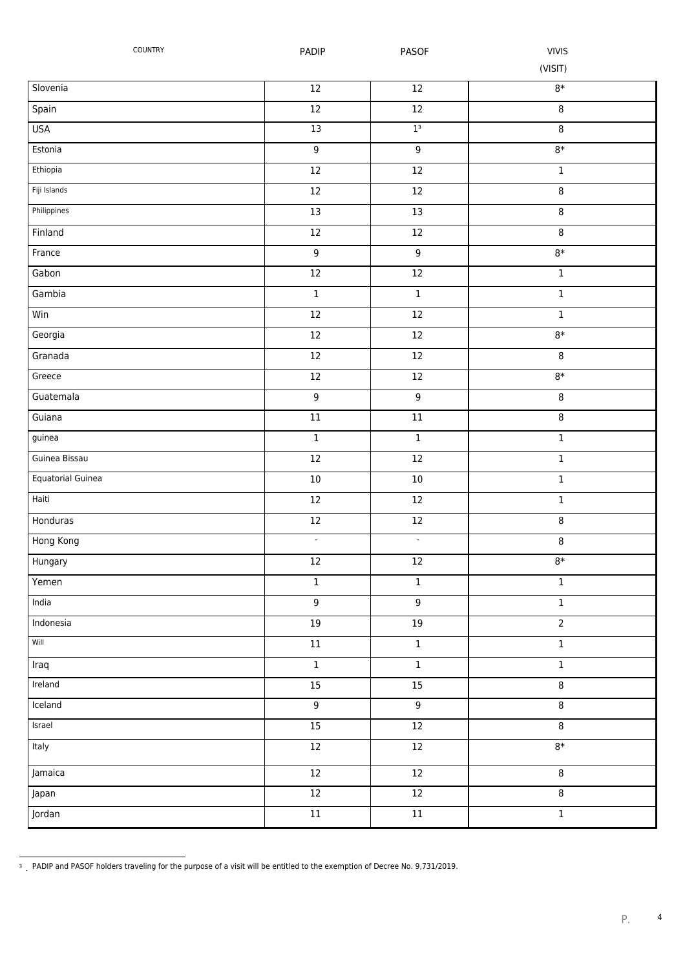| COUNTRY           | PADIP           | PASOF                    | <b>VIVIS</b><br>(VISIT) |
|-------------------|-----------------|--------------------------|-------------------------|
| Slovenia          | $12\,$          | $12\,$                   | $8\ast$                 |
| Spain             | $12\,$          | $12\,$                   | 8                       |
| <b>USA</b>        | 13              | 1 <sup>3</sup>           | 8                       |
| Estonia           | $\overline{9}$  | $\overline{9}$           | $8*$                    |
| Ethiopia          | $12\,$          | $12\,$                   | $\mathbf 1$             |
| Fiji Islands      | $12\,$          | $12\,$                   | 8                       |
| Philippines       | 13              | 13                       | 8                       |
| Finland           | $12\,$          | $12\,$                   | 8                       |
| France            | $\overline{9}$  | $\overline{9}$           | $8\ast$                 |
| Gabon             | $\overline{12}$ | $12\,$                   | $\mathbf 1$             |
| Gambia            | $\mathbf 1$     | $\mathbf 1$              | $\mathbf 1$             |
| Win               | $12\,$          | $12\,$                   | $\mathbf 1$             |
| Georgia           | $12\,$          | 12                       | $8*$                    |
| Granada           | $12\,$          | $12\,$                   | 8                       |
| Greece            | $12\,$          | $12\,$                   | $8*$                    |
| Guatemala         | $\overline{9}$  | $\overline{9}$           | $\infty$                |
| Guiana            | $\overline{11}$ | $\overline{11}$          | 8                       |
| guinea            | $\overline{1}$  | $\overline{1}$           | $\overline{1}$          |
| Guinea Bissau     | $12\,$          | $12\,$                   | $\mathbf 1$             |
| Equatorial Guinea | $10\,$          | $10\,$                   | $\mathbf 1$             |
| Haiti             | $12\,$          | 12                       | $\mathbf 1$             |
| Honduras          | $12\,$          | $12\,$                   | 8                       |
| Hong Kong         | $\blacksquare$  | $\overline{\phantom{a}}$ | 8                       |
| Hungary           | $12\,$          | $12\,$                   | $8\ast$                 |
| Yemen             | $\mathbf 1$     | $\,1$                    | $\,1$                   |
| India             | $\overline{9}$  | $\overline{9}$           | $\,1$                   |
| Indonesia         | $\overline{19}$ | 19                       | $\overline{2}$          |
| Will              | $11\,$          | $\overline{1}$           | $\,1$                   |
| Iraq              | $\overline{1}$  | $\,1\,$                  | $\mathbf 1$             |
| Ireland           | $\overline{15}$ | $\overline{15}$          | 8                       |
| Iceland           | $\overline{9}$  | $\overline{9}$           | $\overline{8}$          |
| Israel            | 15              | $12\,$                   | 8                       |
| Italy             | $\overline{12}$ | $\overline{12}$          | $8*$                    |
| Jamaica           | $12\,$          | 12                       | 8                       |
| Japan             | $12\,$          | $12\,$                   | $\bf 8$                 |
| Jordan            | $11\,$          | $\overline{11}$          | $\mathbf 1$             |

<sup>&</sup>lt;sup>3</sup> PADIP and PASOF holders traveling for the purpose of a visit will be entitled to the exemption of Decree No. 9,731/2019.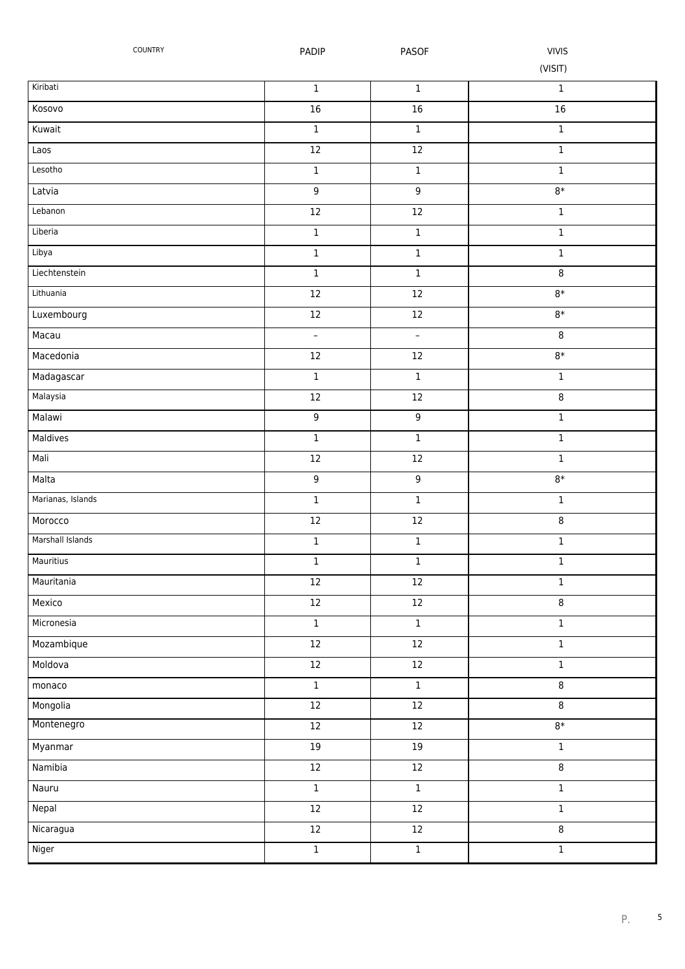| COUNTRY           | PADIP            | <b>PASOF</b>        | <b>VIVIS</b><br>(VISIT) |
|-------------------|------------------|---------------------|-------------------------|
| Kiribati          | $\mathbf 1$      | $\mathbf 1$         | $\mathbf 1$             |
| Kosovo            | $16\,$           | 16                  | 16                      |
| Kuwait            | $\mathbf 1$      | $\mathbf 1$         | $\mathbf 1$             |
| Laos              | $12\,$           | $12\,$              | $\mathbf 1$             |
| Lesotho           | $\mathbf 1$      | $\mathbf 1$         | $\mathbf 1$             |
| Latvia            | 9                | $\boldsymbol{9}$    | $8*$                    |
| Lebanon           | $12\,$           | 12                  | $\mathbf 1$             |
| Liberia           | $\mathbf 1$      | $\mathbf 1$         | $\mathbf 1$             |
| Libya             | $\mathbf 1$      | $\mathbf 1$         | $\mathbf 1$             |
| Liechtenstein     | $\mathbf 1$      | $\mathbf 1$         | 8                       |
| Lithuania         | $12\,$           | $12\,$              | $8*$                    |
| Luxembourg        | $12\,$           | $12\,$              | $8*$                    |
| Macau             | $\frac{1}{2}$    | $\bar{\phantom{a}}$ | 8                       |
| Macedonia         | $12\,$           | $12\,$              | $8*$                    |
| Madagascar        | $\mathbf 1$      | $\mathbf 1$         | $\mathbf 1$             |
| Malaysia          | $12\,$           | 12                  | 8                       |
| Malawi            | $\mathsf 9$      | $\overline{9}$      | $\mathbf 1$             |
| Maldives          | $\overline{1}$   | $\overline{1}$      | $\mathbf 1$             |
| Mali              | $12\,$           | $12\,$              | $\mathbf 1$             |
| Malta             | $\boldsymbol{9}$ | $\boldsymbol{9}$    | $8*$                    |
| Marianas, Islands | $\mathbf 1$      | $\mathbf 1$         | $\mathbf 1$             |
| Morocco           | $12\,$           | $12\,$              | 8                       |
| Marshall Islands  | $\mathbf 1$      | $\,1$               | $\mathbf 1$             |
| Mauritius         | $\mathbf 1$      | $\mathbf 1$         | $\mathbf 1$             |
| Mauritania        | $12\,$           | $12\,$              | $\mathbf 1$             |
| Mexico            | $12\,$           | $12\,$              | 8                       |
| Micronesia        | $\mathbf 1$      | $\mathbf 1$         | $\mathbf 1$             |
| Mozambique        | $12\,$           | $\overline{12}$     | $\mathbf 1$             |
| Moldova           | $12\,$           | $12\,$              | $\mathbf 1$             |
| monaco            | $\overline{1}$   | $\overline{1}$      | 8                       |
| Mongolia          | $\overline{12}$  | $\overline{12}$     | $\overline{8}$          |
| Montenegro        | $12\,$           | 12                  | $8*$                    |
| Myanmar           | 19               | 19                  | $\mathbf{1}$            |
| Namibia           | $12\,$           | 12                  | 8                       |
| Nauru             | $\mathbf{1}$     | $\mathbf{1}$        | $\mathbf{1}$            |
| Nepal             | $12\,$           | $\overline{12}$     | $\mathbf 1$             |
| Nicaragua         | $\overline{12}$  | $\overline{12}$     | $\overline{8}$          |
| Niger             | $\overline{1}$   | $\mathbf 1$         | $\,1$                   |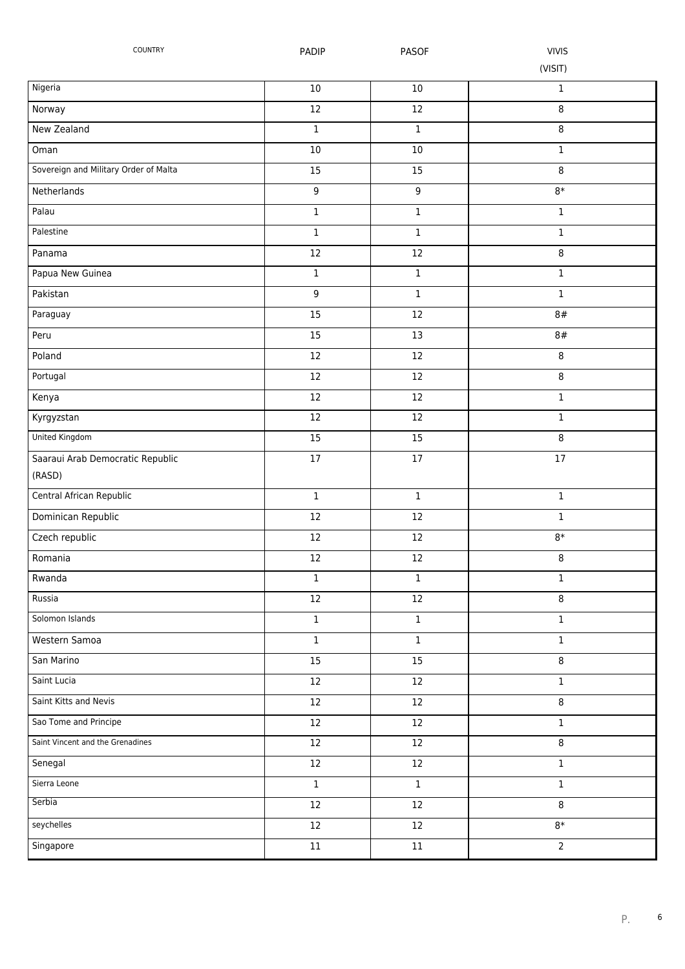| COUNTRY                               | PADIP            | <b>PASOF</b> | <b>VIVIS</b>   |
|---------------------------------------|------------------|--------------|----------------|
|                                       |                  |              | (VISIT)        |
| Nigeria                               | $10\,$           | $10\,$       | 1              |
| Norway                                | $12\,$           | 12           | 8              |
| New Zealand                           | $\mathbf 1$      | $\mathbf 1$  | 8              |
| Oman                                  | $10$             | 10           | $\mathbf 1$    |
| Sovereign and Military Order of Malta | 15               | 15           | 8              |
| Netherlands                           | $\boldsymbol{9}$ | 9            | $8*$           |
| Palau                                 | $\mathbf 1$      | $\mathbf 1$  | $\mathbf 1$    |
| Palestine                             | $\mathbf 1$      | $\mathbf 1$  | $\mathbf 1$    |
| Panama                                | $12\,$           | 12           | 8              |
| Papua New Guinea                      | $\mathbf 1$      | $\mathbf 1$  | $\mathbf 1$    |
| Pakistan                              | $\boldsymbol{9}$ | $\mathbf 1$  | $\mathbf 1$    |
| Paraguay                              | 15               | 12           | 8#             |
| Peru                                  | 15               | 13           | 8#             |
| Poland                                | $12\,$           | 12           | 8              |
| Portugal                              | $12\,$           | 12           | 8              |
| Kenya                                 | $\overline{12}$  | 12           | $\mathbf 1$    |
| Kyrgyzstan                            | 12               | 12           | $\mathbf 1$    |
| United Kingdom                        | $\overline{15}$  | 15           | 8              |
| Saaraui Arab Democratic Republic      | $17$             | 17           | $17\,$         |
| (RASD)                                |                  |              |                |
| Central African Republic              | $\mathbf 1$      | $\mathbf 1$  | $\mathbf 1$    |
| Dominican Republic                    | $12\,$           | 12           | $\mathbf 1$    |
| Czech republic                        | $12\,$           | $12\,$       | $8*$           |
| Romania                               | 12               | 12           | 8              |
| Rwanda                                | $\,1$            | $\mathbf 1$  | 1              |
| Russia                                | $12\,$           | 12           | 8              |
| Solomon Islands                       | $\mathbf 1$      | $\mathbf 1$  | $\mathbf 1$    |
| Western Samoa                         | $\,1\,$          | $\mathbf 1$  | $\mathbf 1$    |
| San Marino                            | 15               | 15           | 8              |
| Saint Lucia                           | 12               | 12           | $\mathbf 1$    |
| Saint Kitts and Nevis                 | $12\,$           | 12           | 8              |
| Sao Tome and Principe                 | 12               | 12           | 1              |
| Saint Vincent and the Grenadines      | $12\,$           | $12\,$       | 8              |
| Senegal                               | $12\,$           | 12           | $\mathbf 1$    |
| Sierra Leone                          | $\mathbf 1$      | $\mathbf 1$  | $\mathbf 1$    |
| Serbia                                | $12\,$           | $12\,$       | 8              |
| seychelles                            | $12\,$           | 12           | $8*$           |
| Singapore                             | $11\,$           | $11\,$       | $\overline{2}$ |